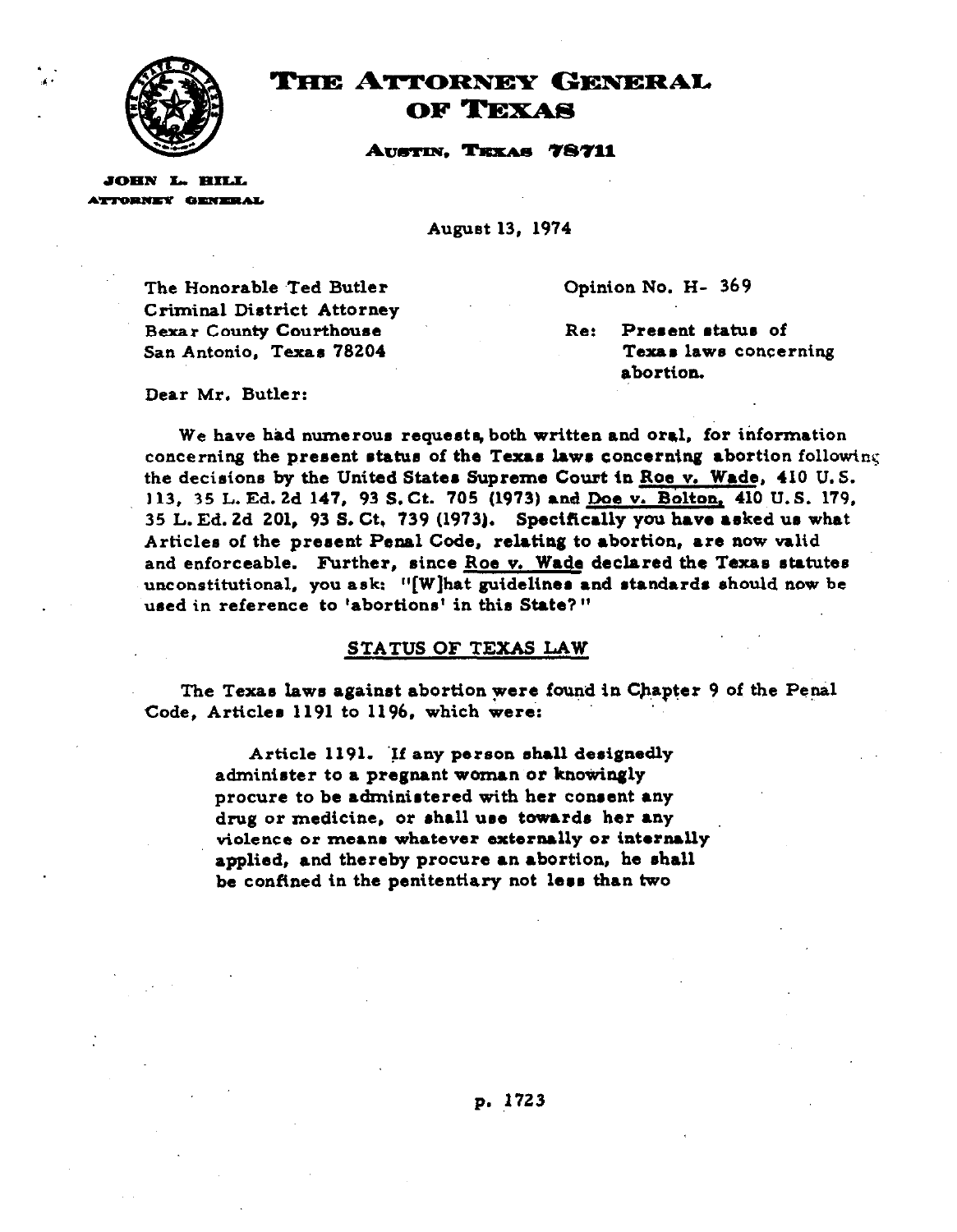

1

# THE ATTORNEY GENERAL **OF TEXAS**

AUSTIN, TEXAS 78711

**JOHN L. HILL** ATTORNEY GENERAL

**August 13, 1974** 

**The Honorable .Ted Butler Criminal** Dietrict Attorney **Bexar County Courthouse San Antonio. Texas 78204** 

**Opinion No. H- 369** 

Re: **Present status of Texas lawe concerning abortion.** 

**Dear Mr. Butler:** 

**We have had numerous requests, both written and oral, for information concerning the p,resent ~tatua of the Texas lawr concerntng abortion following the decisions by the United States Supreme Court in Roe v. Wade, 410 U.S. 113, 35 L. Ed. 2d 147, 93 S.Ct. 705 (1973) and Doe v. Bolton, 410 U.S. 179, 35 L. Ed. 2d 201, 93 5. Ct, 739 (1973). Specifically you have asked us what Articles of the present Penal Code, relating to abortion, are now valid**  and enforceable. Further, since Roe v. Wade declared the Texas statutes **unconstitutional, you ask: "[W]hat guidelines and standards should now be used in reference to 'abortions' in this State? "** 

### **STATUS OF TEXAS LAW**

The Texas laws against abortion were found in Chapter 9 of the Penal **Code, Articles 1191 to 1196. which were:** 

> **Article 1191. 'Et any person shall designedly administer to a pregnant woman or knowingly**  procure to be administered with her consent any drug or medicine, or shall use towards her any **violence or means whatever externally or internally applied, and thereby procure an abortion, he shall**  be confined in the penitentiary not less than two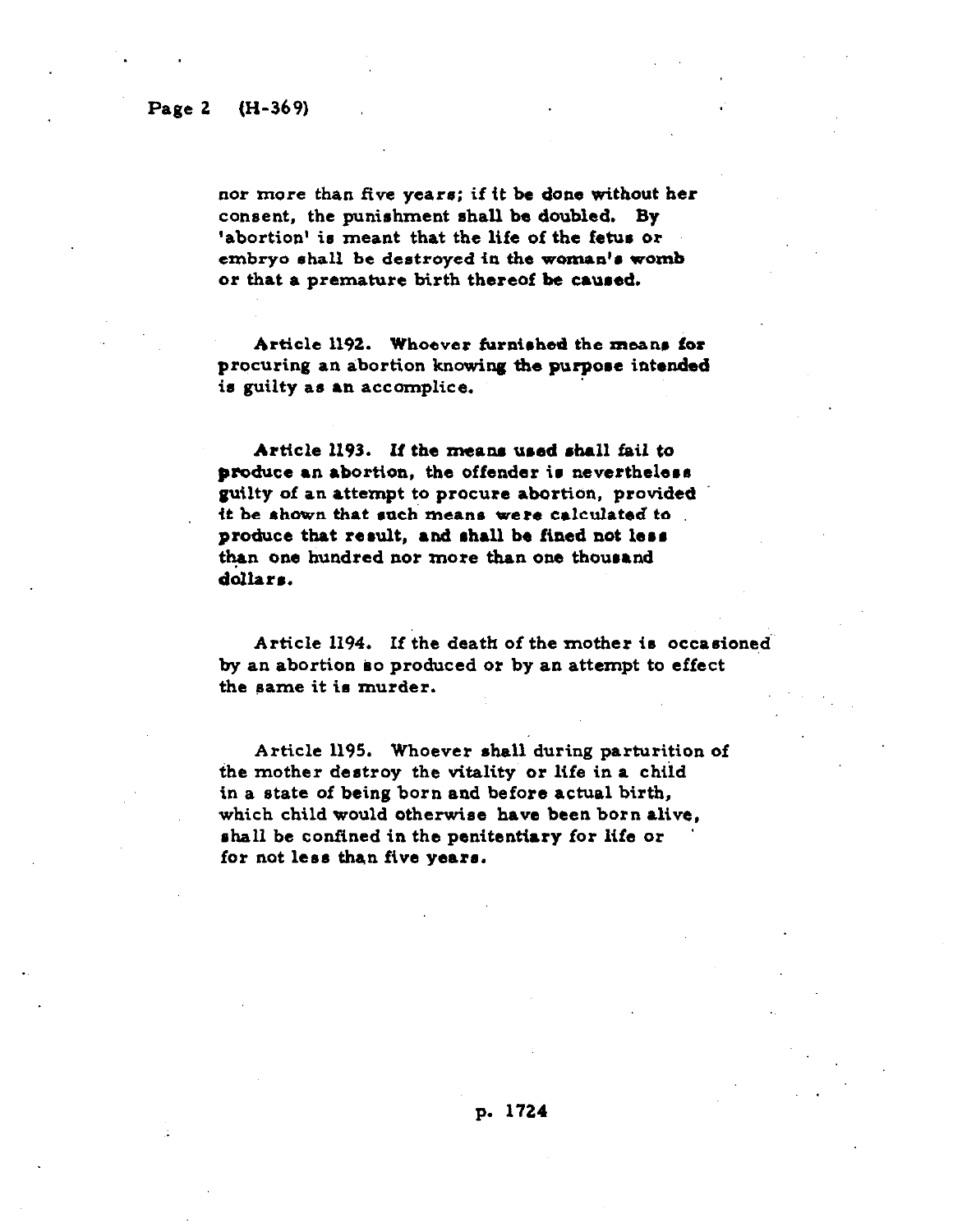### **Page 2 (H-369)**

. .

nor more than five years; if it be done without her **consent, the punishment ahall be doubled. By 'abortion' icl meant that the life of the fetus** *or*  **embryo shall be destroyed in the woman'e womb or that** *a* **premature birth thereof be caured.** 

Article 1192. Whoever furnished the means for procuring an abortion knowing the purpose intended **i6 guilty as an accomplice.** 

Article 1193. **If the meane used shall fail** *to*  produce an abortion. the offender is nevertheless **guilty of an attempt to procure** abortion, **provided**  it **be rhown that each** means **were calculated to produce that result, and rhall be fined not leer t&an one hundred nor** *more* **than one thourand**  dollars.

**Article 1194. If the death of the** mother **is occarioned by an abortion ko produced or by an attempt to effect the eame it ia murder.** 

**Article 1195. Whoever shall during parturition of the mother destroy the vitality or life in a child in a state** *of* **being born and before actual birth, which child would** otherwise **have been born alive, rhall be confined in the penitentiary for life or**  for not less than five years.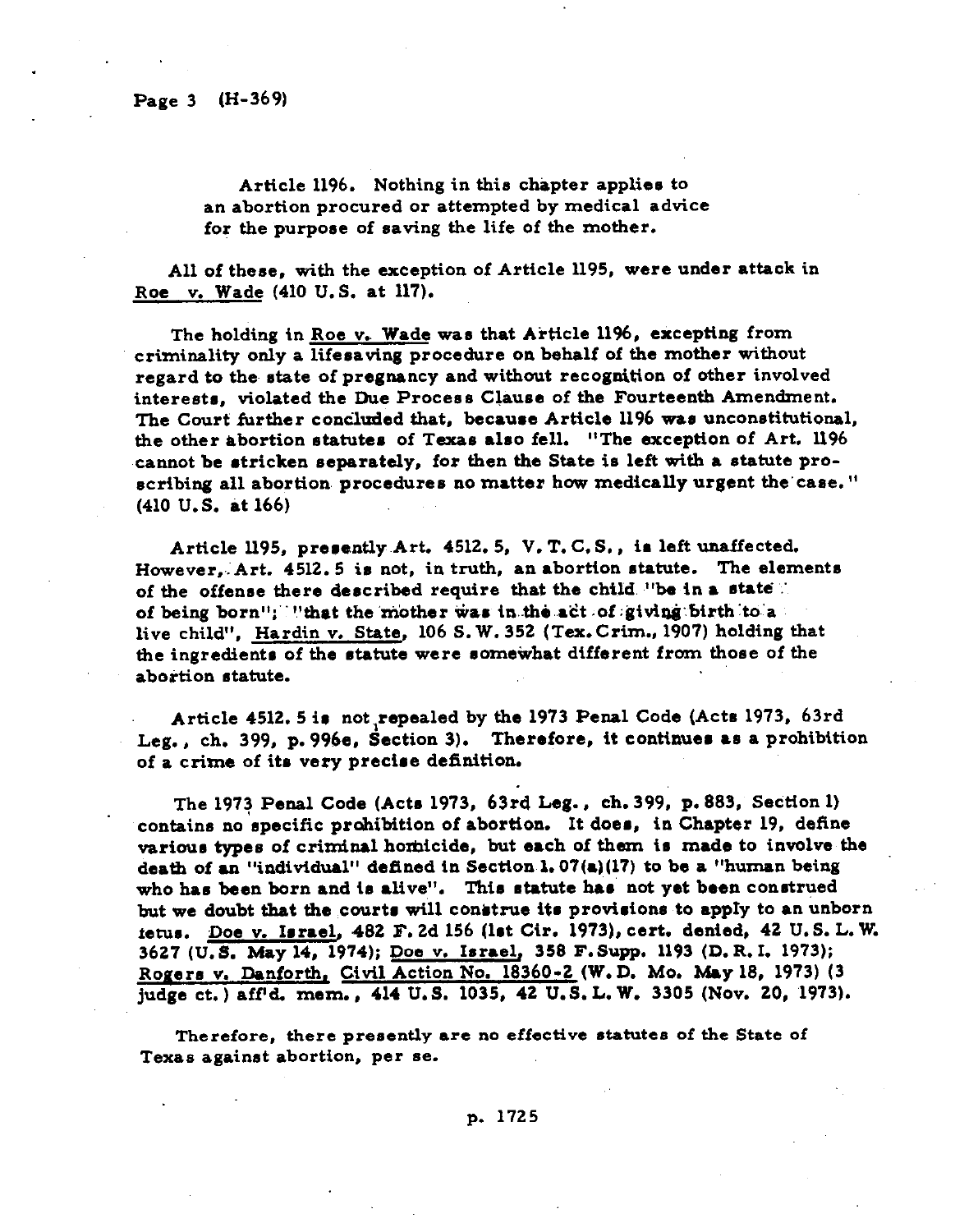Article 1196. Nothing in this chapter applies to **an abortion procured or attempted by medical advice for the purpose of saving the life of the mother.** 

**All of these, with the exception** *of* **Article 1195,** were **under attack in Roe v. Wade (410 U.S. at 117).** 

**The holding in Roe v. Wade was that Article 1196, excepting from criminality only a lifesaving** *procedure* **on behalf of the mother without regard to then state of pregnancy and without** *recognition of* other **involved interests, violated the Due Process Clause of the Fourteenth Amendment. The Court further condlrrded that, because Article** *1196* **was unconstitntional, the other abortion otatutes of Texas also fell. "The exception of Art. 1196 ~cannot be stricken separately, for then the State is left with a statute proscribing all abortion, procedures no matter how medically urgent the'case. " (410 U.S. at 166)** 

**Article** *ll95,* **prerantly.Art. 4512. 5, V. T. C.S., is laft unaffected. However,.:Art. 4512.5 is not, in truth, an abortion statute. The elements**  of the offense there described require that the child, "be in a state". **of being born I';" !'that the** *'hidher* **was in..&6 ..atit** *.of* **:givi@:birth :&a**  live child", Hardin v. State, 106 S. W. 352 (Tex. Crim., 1907) holding that **the ingredients of the statute were somewhat different from those of the abortion statute.** 

Article **4512. 5 is not,repealed by the 1973 Penal Code (Acts 1973, 63rd Leg., ch. 399, p. 996e, Section 3). Therefore, it continues as a prohibition of a crime of ita very precise definition.** 

**The 1973 Penal Code (Acts 1973, 634 Leg., ch. 399, p. 883, Ssdtion 1) contains no specific prohibition of abortion. It does, in Chapter 19, define various types** *of* **criminal homicide, but each of them in made to involve the**  death of an "individual" defined in Section 1.07(a)(17) to be a "human being **who has been born and is alive". This statute has not yet been construed**  but we doubt that the courts will construe its provisions to apply to an unborn **fetus. Doe v. Israel, 482 F. 2d 156 (1st Cir. 1973), cert. denied, 42 U.S. L. W. 3627 (U.S. May 14, 1974); Doe v. Israel, 358 F.Supp. 1193 (D.R. I. 1973); Rogers v. Danforth, Civil Action No. 18360-2 (W.D. MO. May 18, 1973) (3**  judge ct.) aff<sup>1</sup>d. mem., 414 U.S. 1035, 42 U.S.L.W. 3305 (Nov. 20, 1973).

**Therefore,** *there* **presently** *are* **no effective statutes of the State of Texas against abortion, per se.**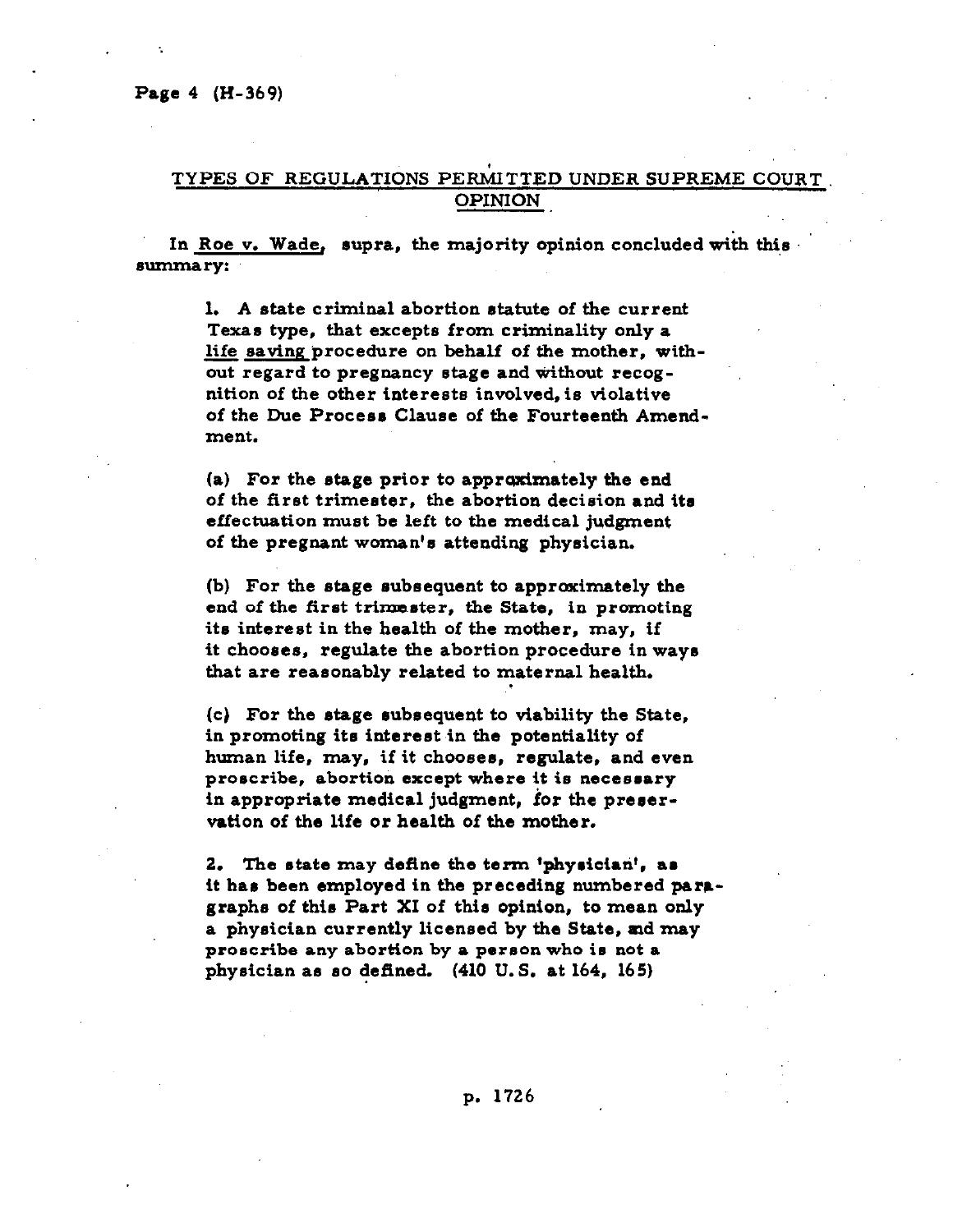# **TYPES OF REGULATIONS PERMITTED UNDER SUPREME COURT, OPINION**

**In Roe v. Wade, supra, the majority opinion concluded with this eummary:** 

> **1. A state criminal abortion statute of the current Texas type, that excepts from criminality only a**  life saving procedure on behalf of the mother, with**out regard to pregnancy stage and without** *recog***nition of the other interests involved, is violative of the Due Process Clause of** *the Fourteenth* **Amendment.**

**(a)** *For* **the stage prior to approximately the end of the first trimester, the abortion decision** *and* **its effectuation must be left to the medical judgment of the pregnant woman's attending physician.** 

**(b) For the stage subsequent to approximately the end of the first trimeater, the State, in promoting its interest in the health of the mother, may, if it chooses, regulate the abortion procedure in ways that are reasonably related to maternal health.** 

**(c)** *For* **the &age subsequent to viability the State,**  in promoting its interest in the potentiality of human life, may, if it chooses, regulate, and even **proscribe, abortion except where it is necessary**  in appropriate medical judgment, for the preser**vation of the life or health of the mother.** 

**2. The ntate may define the term 'physician', ar it has been employed in the preceding numbered paragraphs of this Part XI of this opinion, to mean only a physician currently licensed by the State, ad may proscribe any abortion by a person who is not a physician as so defined. (410 U.S. at 164, 165)**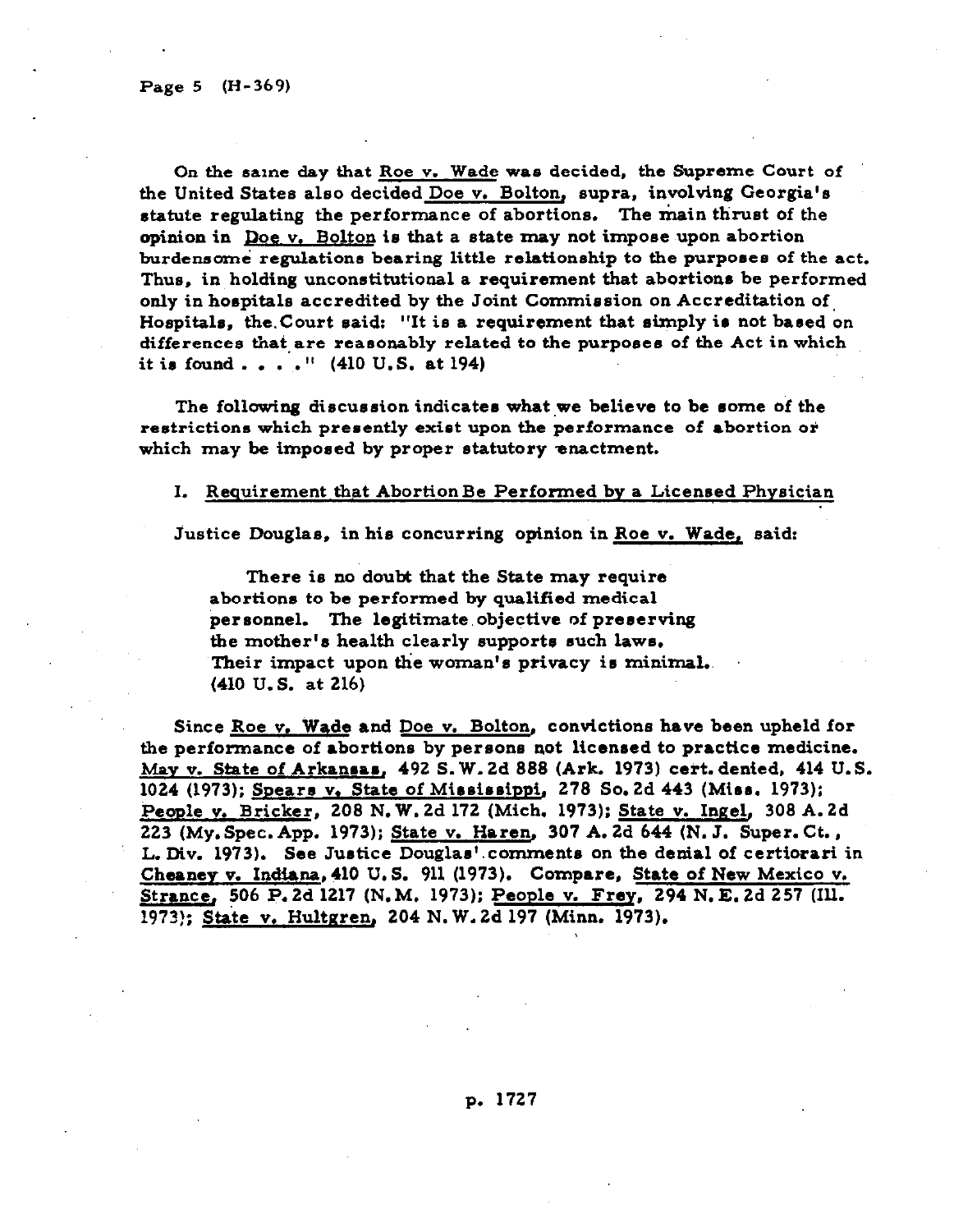**On the same day that Roe v. Wade was decided, the Supreme Court of the United States also decided Doe v. Bolton, supra, involving Georgia's**  statute regulating the performance of abortions. The main thrust of the **opinion in Doe v. Bolton is that a state may not impose upon abortion burdensome regulations bearing little relationship to the purposes of the act. Thus, in holding unconstitutional** *a requirement that* **abortions be performed only in hospitals accredited by the Joint Commission on Accreditation of, Hospitals, the.Court said: "It is a requirement that simply is not baaed on differences that.are reanonably related to the purposes of the Act in which it is found . . . . " (410 U.S. at 194)** 

The following discussion indicates what we believe to be some of the **restrictions which presently exist upon the performance of abortion or which may be imposed by proper statutory enactment.** 

#### **I. Requirement that AbortionBe Performed by a Licensed Physician**

**Justice Douglas, in his concurring opinion in Roe v. Wade, said:** 

**There is no doubt that the State may require abortions to be performed by qualified medical**  personnel. The legitimate objective of preserving **the mother's health clearly supports such laws, Their impact upon the woman's privacy i8 minimal..**  *(410* **U.S. at 216)** 

**Since Roe v. Wade and Doe v. Bolton, convictions have been upheld for the performance of abortions by persons not licensed to practice medicine. Mav v. State of Arkansas, 492 S. W. 2d 888 (Ark. 1973) ceit. denied, 414 U.S.**  1024 (1973); Spears v. State of Mississippi, 278 So. 2d 443 (Miss. 1973); **People v. Bricker, 208 N. W. 2d 172 (Mich. 1973); State v. Ingel, 308 A. 2d 223 (My.Spec.App. 1973); State v. Haren, 307 A. 2d 644 (N. J. Super. Ct., L. Div. 1973). See Justice Douglas'.comments on the denial** *of* **certiorari in Cheanev v. Indiana,410 U.S. 911 (1973).** *Compare,* **State of New Mexico v. Strance, 506 P. 2d 1217 (N. M. 1973); People v. Frey, 294 N. E. 2d 257 (Ill. 1973); State v. Hultgren, 204 N. W. 2d 197 (Minn. 1973).**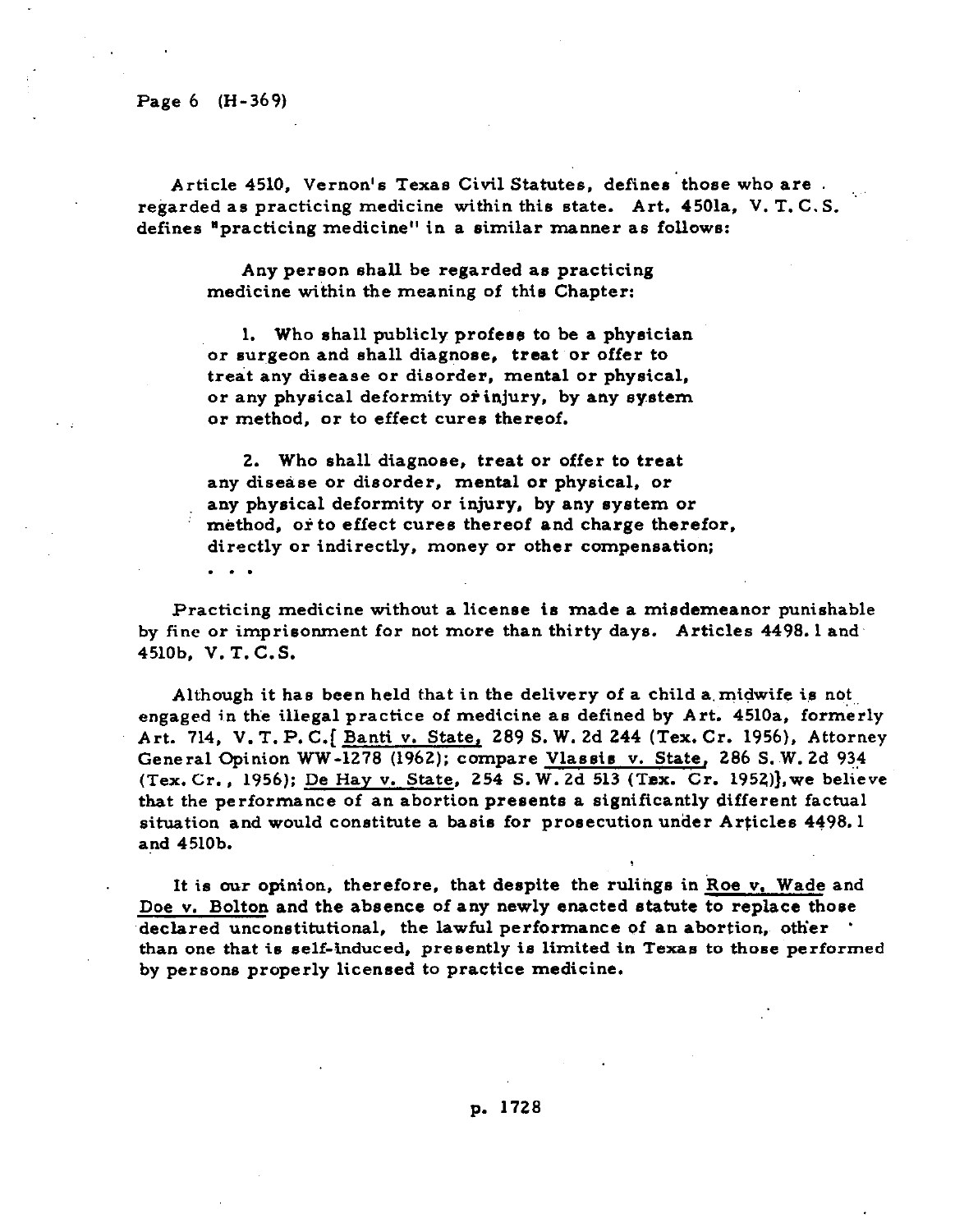**Page 6 (H-369)** 

**. . .** 

Article 4510, Vernon's Texas Civil Statutes, defines those who are . **regarded as practicing medicine within this state. Art. 4501a, V. T. C. S. defines 'practicing medicine" in a similar manner as follows:** 

**Any person shall be regarded as practicing medicine within the meaning of this Chapter:** 

**1. Who shall publicly profess to be a physician**  or surgeon and shall diagnose, treat or offer to **treat any disease or disorder, mental or physical,**  or any physical deformity or injury, by any system **or method, or to effect cures thereof.** 

**2. Who shall diagnose, treat or offer to treat any disekse or disorder, mental or physical, or any physical deformity or injury, by any system or**  method, or to effect cures thereof and charge therefor. **directly or indirectly, money or other compensation;** 

**Practicing medicine without a license is made a misdemeanor punishable by fine or imprisonment for not more than thirty days. Articles 4498.1 and' 4510b. V. T. C.S.** 

Although it has been held that in the delivery of a child a midwife is not engaged in the illegal practice of medicine as defined by Art. 4510a, formerly **Art. 714, V. T.P.C.[ Banti v. State, 289 S. W. 2d 244 (Tex. Cr. 1956). Attorney General Opinion WW-1278 (1962); compare Vlassis V. State, 286 S. W. 2d 93? (Tex. Cr., 1956); De Hay v. State, 254 S. W. 2d 513 (Tax. Cr. 1952)],we believe that the performance of an abortion presents a significantly different factual situation and would constitute a basis for prosecution under Articles 4498.1 and 4510b.** 

It is our opinion, therefore, that despite the rulings in Roe v, Wade and **Doe v. Bolton and the absence of any newly enacted statute to replace those**  declared unconstitutional, the lawful performance of an abortion, other **\* than one that is self-induced, presently is limited in Texas to those performed by persons properly licensed to practice medicine.** 

**p. 1728**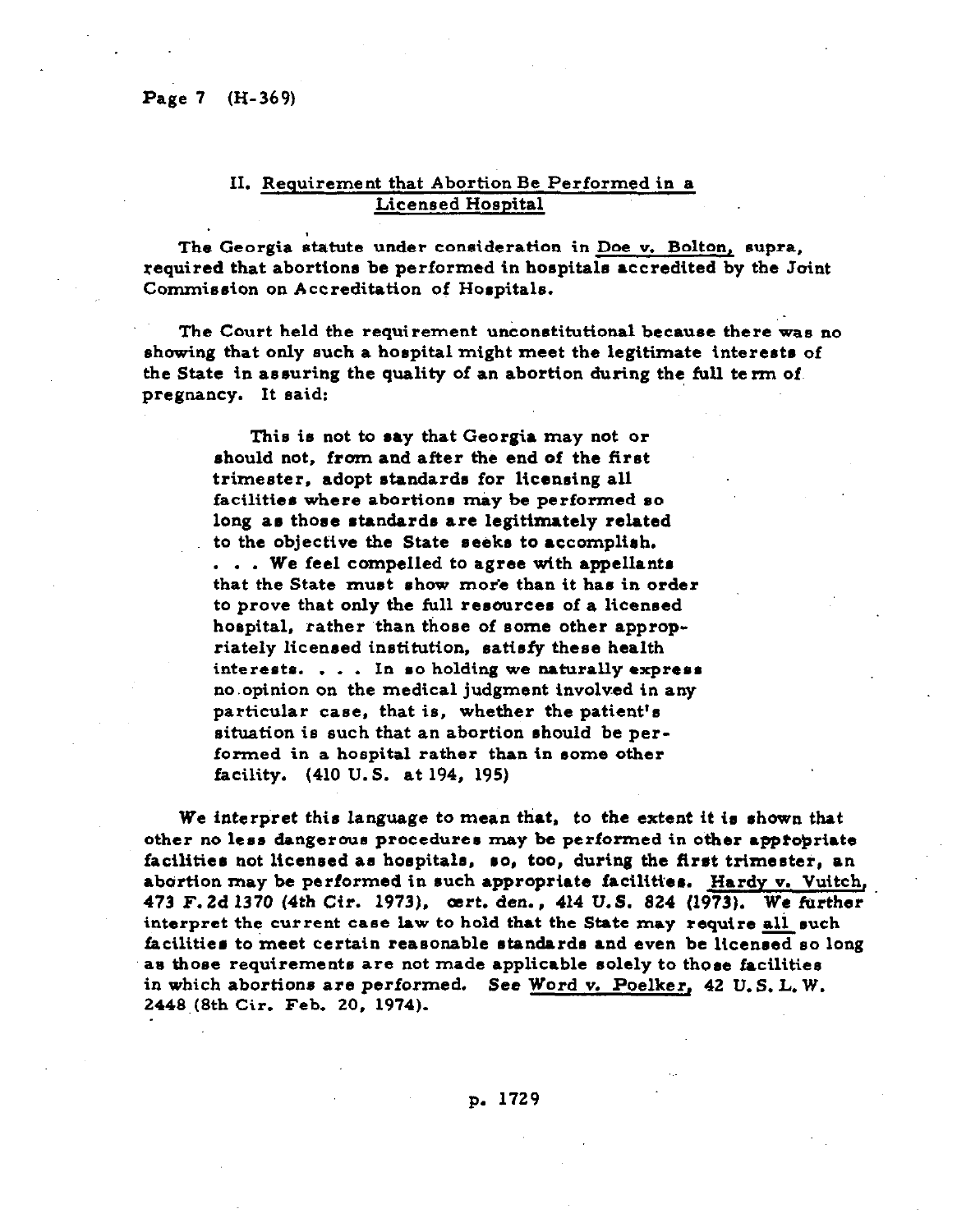### **II. Requirement that Abortion Be Performed in a Licensed Hospital**

**The Georgia statute under consideration in Doe v. Bolton, supra, :equired that abortions be performed in hospitals accredited by the Joint Commission on Accreditation of Hospitals.** 

**The Court held the requirement unconstitutional because there was no showing that only such a hospital might meet the legitimate interests of the State in asouring the quality of an abortion during the full term of. pregnancy. It said:** 

**:** 

**This is not to may that Georgia may not or should not, from and after the end of the first**  trimester, adopt standards for licensing all facilities where abortions may be performed so long as those standards are legitimately related to the objective the State seeks to accomplish. **. . . We feel compelled to agree with appellants**  that the State must show more than it has in order **to prove that only the full resources of a licensed hospital, rather than those of some other appropriately licensed institution, satisfy these health interests. . . . In so holding we naturally express no.opinion on the medical judgment involved in any particular case, that is, whether the patient's situation is such that an abortion should be performed in a hospital rather than in oome other facility. (410 U.S. at 194, 195)** 

**We interpret this language to mean that. to the extent** it **to shown that other no less dangerous procedures may be performed in other appropriate**  facilities not licensed as hospitals, so, too, during the first trimester, an **abortion may be performed in such appropriate facilities. Hardy v. Vuitch, 473 F. 2d 1370 (4th Cit. 1973). art. den., 414 U.S. 824 (1973). We further interpret the current case law to hold that the State may require all ouch**  facilities to meet certain reasonable standards and even be licensed so long as those requirements are not made applicable solely to those facilities in which abortions are performed. See Word v. Poelker, 42 U.S.L.W. **2448,(8th Cir. Feb. 20, 1974).** 

**p. 1729**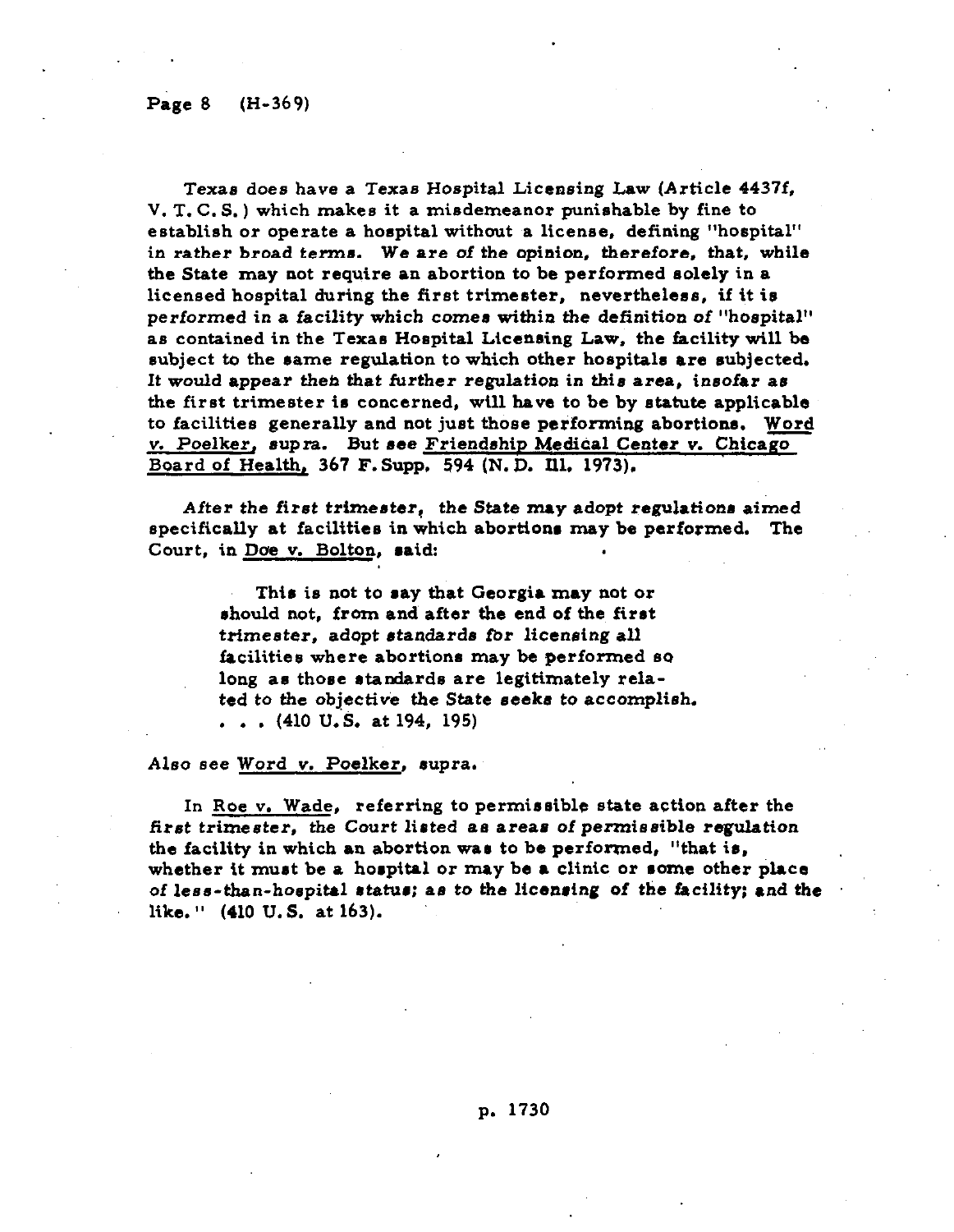**Texas does have a Texas Hospital Licensing Law (Article 4437f, V. T. C. S. ) which makes it a misdemeanor punishable by fine to establish or operate a hospital without a license, defining "hospital" in rather broad terms. We are of the opinion, therefore. that, while the State may not require an abortion to be performed solely in a licensed hospital during the first trimester, nevertheless, if it is performed in a facility which comes within the definition of "hospital"**  as contained in the Texas Hospital Licensing Law, the facility will be subject to the same regulation to which other hospitals are subjected. **It would appear then that further regulation in this area, insofar as the first trimester is concerned, will have to be by statute applicable to facilities generally and not just those performing abortions. Word v. Poelker, supra.** But see Friendship Medical Center v. Chicago **Board of Health, 367 F. Supp, 594 (N. D. Ill. 1973).** 

**After the** *first* **trimester? the State may adopt regulation8 aimed specifically at facilities in which abortions may be performed. The Court, in Doe v. Bolton, said:** 

> **This is not to say that Georgia** may **not or rhould not, from and after the end** *of* **the first trimester, adopt standards for licensing all**  facilities where abortions may be performed so **long as those standards** are **legitimately related to the objective the State seeks to accomplish. . . . (410 U.S. at 194, 195)**

### *Also* **see Word v. Poelker, supra.**

**In Roe v. Wade, referring to permissible state action after the first trimester, the Court listed as areas** *of* **permissible regulation the facility in which an abortion was to be performed, "that is, whether it must be a hospital or may be a clinic or some other place**  *of* **less-than-hospital status; as to the licensing** *of* **the facility; and the like. " (410 U.S. at 163).**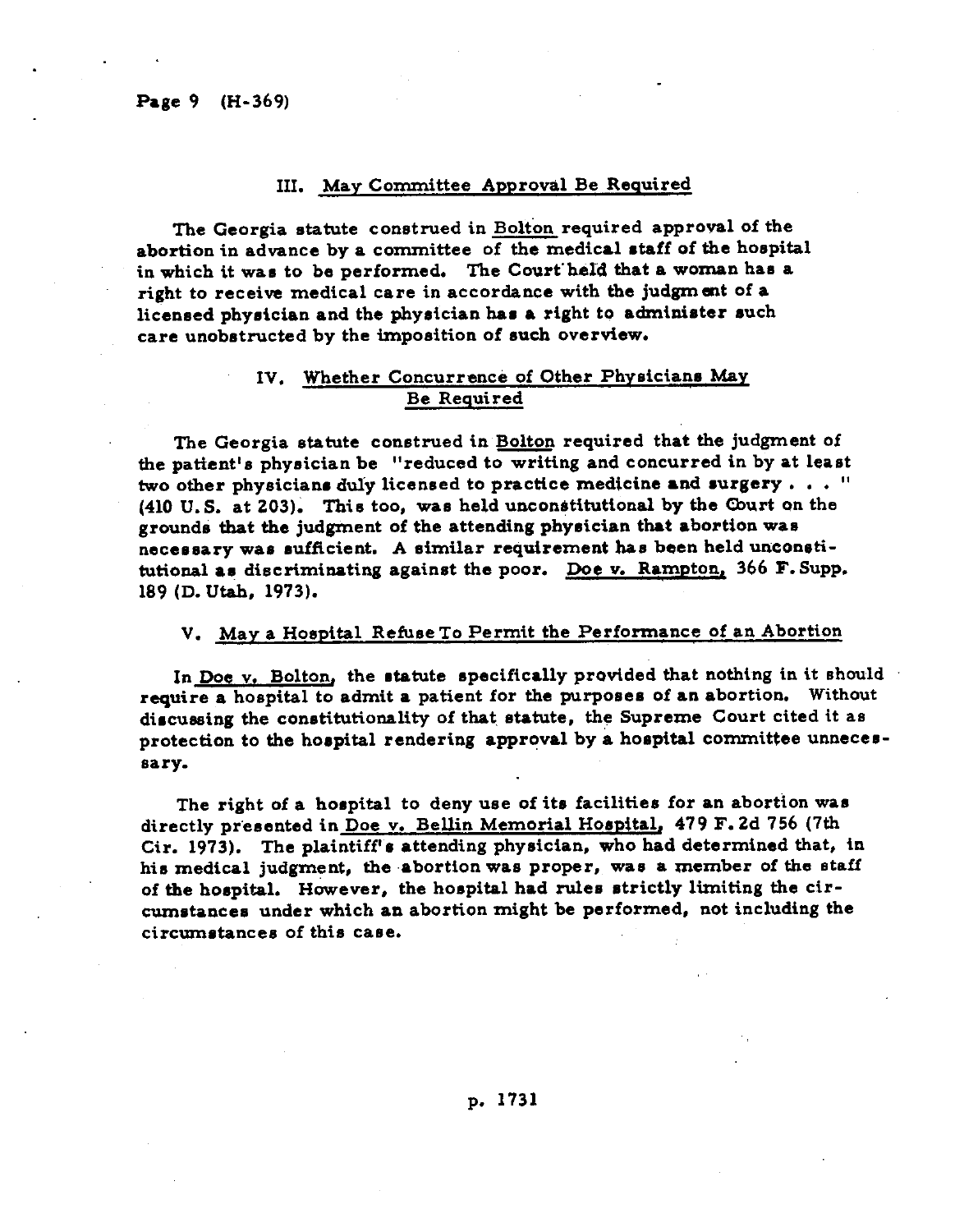### III. May Committee Approval Be Required

**The Georgia statute construed in Bolton required approval of the**  abortion in advance by a committee of the medical staff of the hospital in which it was to be performed. The Court'held that a woman has a **right to receive medical care in accordance with the judgmat of a**  licensed physician and the physician has a right to administer such **care unobetnxted by the imposition of euch overview.** 

# **IV. Whether Concurrence of Other Physician8 May Be Required**

The Georgia statute construed in **Bolton** required that the judgment of **the patient's physician be "reduced to writing and concurred in by** at **leaat two other physician8 duly licensed to practice medicine and surgery . . . "**  (410 U.S. at 203). This too, was held unconstitutional by the Court on the **groundi that the judgment of the attending phyeician that abortion wan**  necessary was sufficient. A similar requirement has been held unconsti**tutional a? discriminating against the poor. Doe v. Rampton, 366 F. Supp. 189 (D. Utah, 1973).** 

## **V. May a Hospital Refuse To Permit the Performance of an Abortion**

In Doe v. Bolton, the statute specifically provided that nothing in it should **require a hospital to admit** a **patient for the purpoeee of** an **abortion. Without dircuesing the constitutionality of that. etatute,** *the Supreme* **Court cited it as**  protection to the hospital rendering approval by a hospital committee unneces**sary.** 

The right of a hospital to deny use of its facilities for an abortion was **directly preeented in Doe v. Bellin Memorial Hoepital, 479 F. 2d 756 (7th**  Cir. 1973). The plaintiff's attending physician, who had determined that, in **hie medical judgment, the .abortion** wa8 **proper, wae a member of the** staff of the hospital. However, the hospital had rules strictly limiting the circumstances under which an abortion might be performed, not including the **circumetancee of this cane.**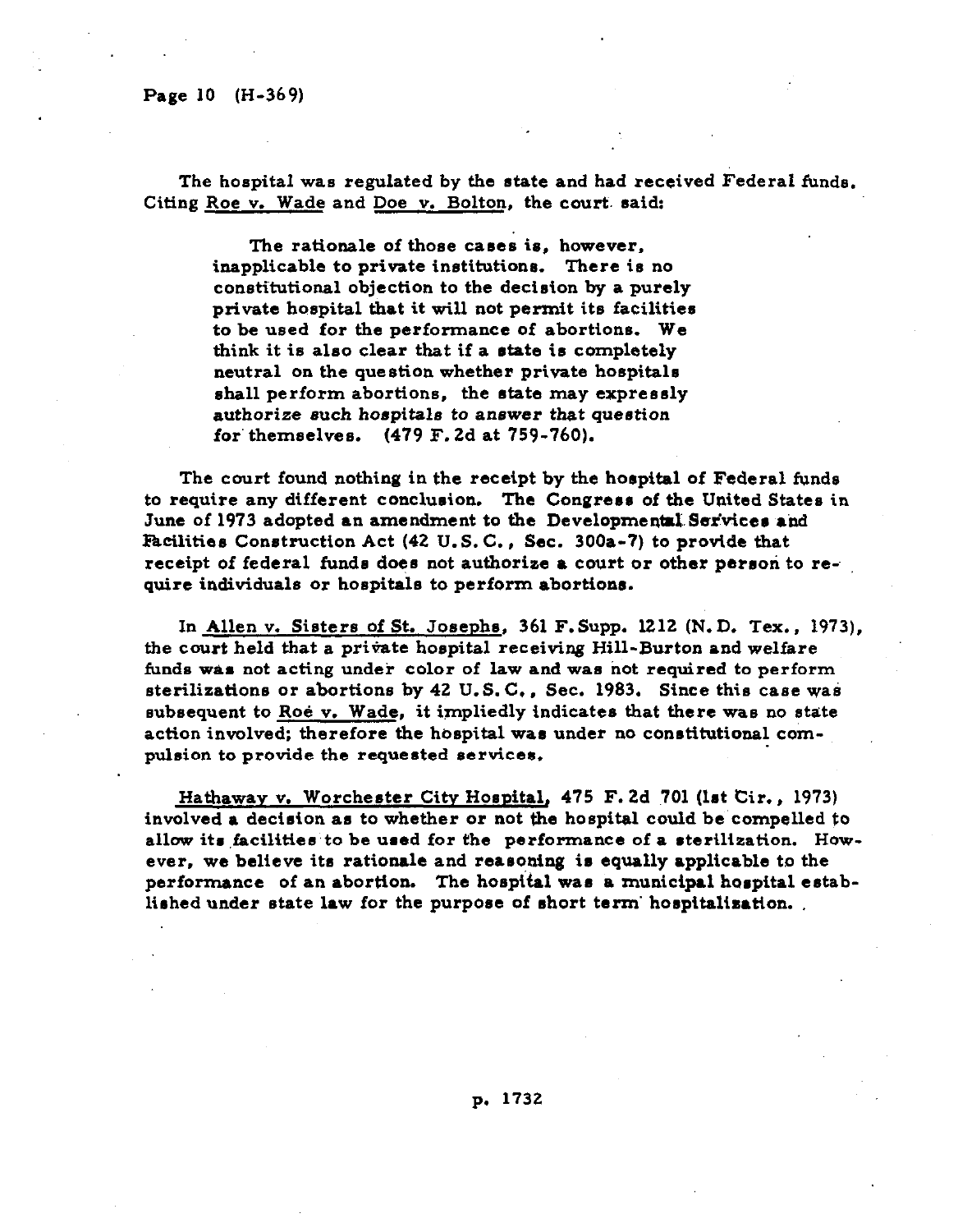**The hospital was regulated by the state and had received Federal funde. Citing Roe v. Wade and Doe v. Bolton, the court. said:** 

**The rationale of those cases is, however, inapplicable to private institutions. There is no**  constitutional objection to the decision by a purely **private hospital that it will not permit its facilitier to be used for the performance of abortions. We**  think it is also clear that if a state is completely **neutral on the question whether private hospitals ahall perform abortions. the rtate may expressly authorize such hoapitale to anewer that question for' themselves. (479 F. 2d at 759-760).** 

**The court found nothing in the receipt by the horpital of Federal funds**  to require any different conclusion. The Congress of the United States in June of 1973 adopted an amendment to the Developmental Services and Facilities Construction Act (42 U.S.C., Sec. 300a-7) to provide that **receipt of federal funds does not authorize a court or other person to require individuals or hospitals to perform abortiona.** 

**In Allen v. Sisters of St. Josephs, 361 F.Supp. 1212 (N.D. Tex., 1973),**  the court held that a private hospital receiving Hill-Burton and welfare funds was not acting under color of law and was not required to perform **sterilizatione or abortions by 42 U.S. C., Sec. 1983. Since this case was**  subsequent to Roe v. Wade, it impliedly indicates that there was no state action involved; therefore the hospital was under no constitutional com**pulsion to provide the requested services,** 

Hathaway v. Worchester City Hospital, 475 F. 2d 701 (lst Cir., 1973) **involved** a **decision** an **to whether** or **not the hospital could be compelled to**  allow its facilities to be used for the performance of a sterilization. However, we believe its rationale and reasoning is equally applicable to the performance of an abortion. The hospital was a municipal hospital established under state law for the purpose of short term' hospitalization.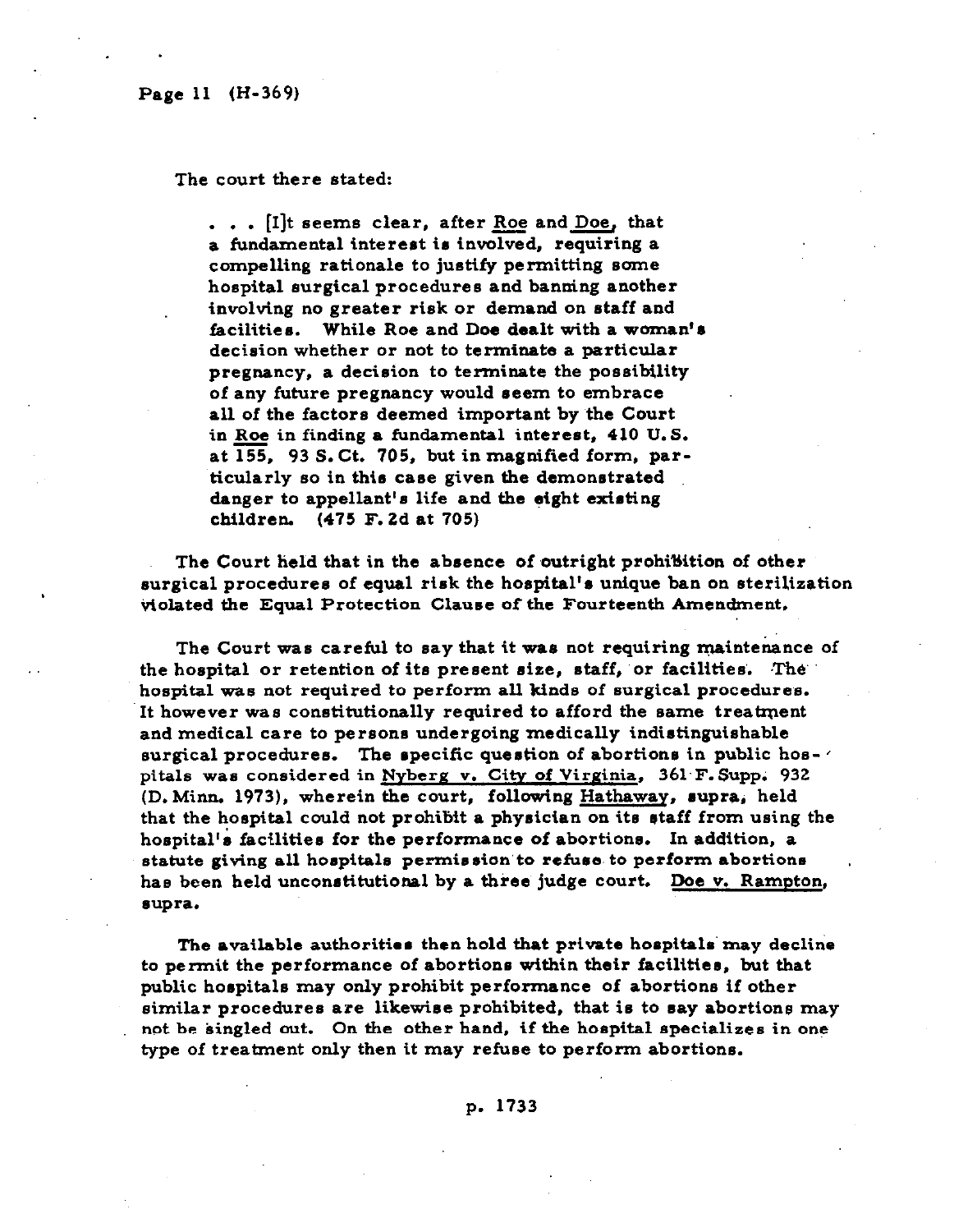. .

**The court there stated:** 

**.** . . [I]t seems clear, after Roe and Doe, that **a fundamental intereet ie involved, requiring a compelling rationale to justify permitting eome hospital surgical procedures and banning another involving no greater risk or demand on staff and facilities. While Roe and Doe dealt with a woman'8 decision whether or not to terminate a particular pregnancy, a decision to terminate the possibility of any future pregnancy would seem to embrace**  all of the factors deemed important by the Court **in Roe in finding a fundamental interest, 410 U.S. at 155, 93 S. Ct. 705, but in magnified form, particularly so in thie caee given the demonstrated danger to appellant's life and the eight existing children. (475 F. 2d at 705)** 

The Court held that in the absence of outright prohiBition of other **surgical procedures of equal risk the hoepltal's unique ban on sterilization violated the Equal Protection Clauee of the Fourteenth Amendment,** 

**The Court was careful to say that it wae not requiring maintenance of the hospital or retention of it8 present eiae, staff, 'or facilities'. IThe hospital was not required to perform all kinds of surgical procedures. It however was constitutionally required to afford the same treatment and medical care to pereons undergoing medically indistinguishable surgical procedures. The epecific question of abortions in public hos- '**  pitals was considered in Nyberg v. City of Virginia, 361 F. Supp. 932 (D. Minn. 1973), wherein the court, following Hathaway, supra, held that the hospital could not prohibit a physician on its staff from using the **hoepital'e focilitiee for the performance of abortiona. In addition, a statute giving all hoepitale permission'to refuee. to perform abortions has been held unconetitutional by a three judge court. Doe v. Rampton, eupra.** 

**The available authoritiee then hold that private hoepitale' may decline to permit the performance of abortions within their facilities, but that public horpitale may only prohibit performsnce of abortions if other similar procedures** *are* **likewiee prohibited, that is to say abortions may not be singled out. On the** other **hand, if the hospital specializes in one**  type of treatment only then it may refuse to perform abortions.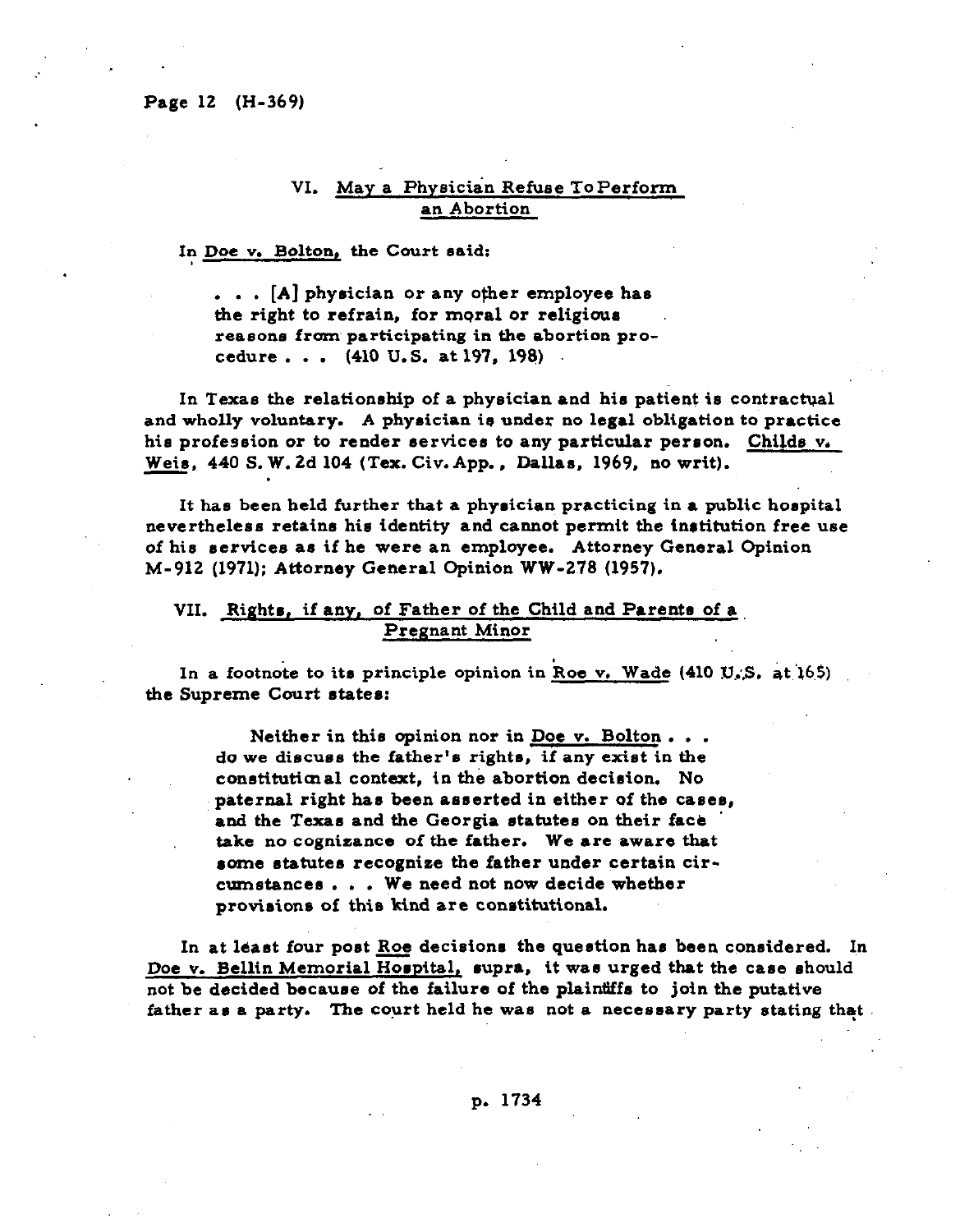.

# **VI. May a Physician Refuse ToPerform an Abortion**

### **In Doe v. Bolton, the Court said:**

**. . . [A] physician or any other employee has the right to refrain, for moral or religious reasons from participating in the abortion procedure . . . (410 U.S. at 197, 198)** 

**In Texas the relationship of a physician and his patient is contractual and wholly voluntary. A physician is under no legal obligation to practice his profession or to render services to any particular perron. Childs v. Weie. 440 S. W. 2d 104 (Tex. Civ.App., Dallas, 1969, no writ).** 

**It has been held further that a physician practicing in a public hospital nevertheless retains his identity and cannot permit the institution free use of his services as if he were an employee. Attorney General Opinion M-912 (1971); Attorney General Opinion WW-278 (1957).** 

### **VII. Rights, if any. of** Father **of the Child and Parents of a Pregnant Minor**

In a footnote to its principle opinion in Roe v. Wade (410 U.S. at 165) **the Supreme Court states:** 

> **Neither in this opinion nor in Doe v. Bolton . . . do~we discuss the father's rights, if any exist in the conetitutimal context, in the abortion decision. No paternal right has been asserted in either of the** cases, and the Texas and the Georgia statutes on their face **take no cogniaance of the father.** We **are** aware **that some statutes recogniee the father under certain circumstances . . . We need not now decide whether provisions of this hind are constitutional.**

In at least four post **Roe** decisions the question has been considered. In **Doe v. Bellin Memorial Hospital, supra, it was urged that the case should not be decided because of the failure of the plaintiffs to join the putative father as a party. The court held he was not a necessary party stating that.**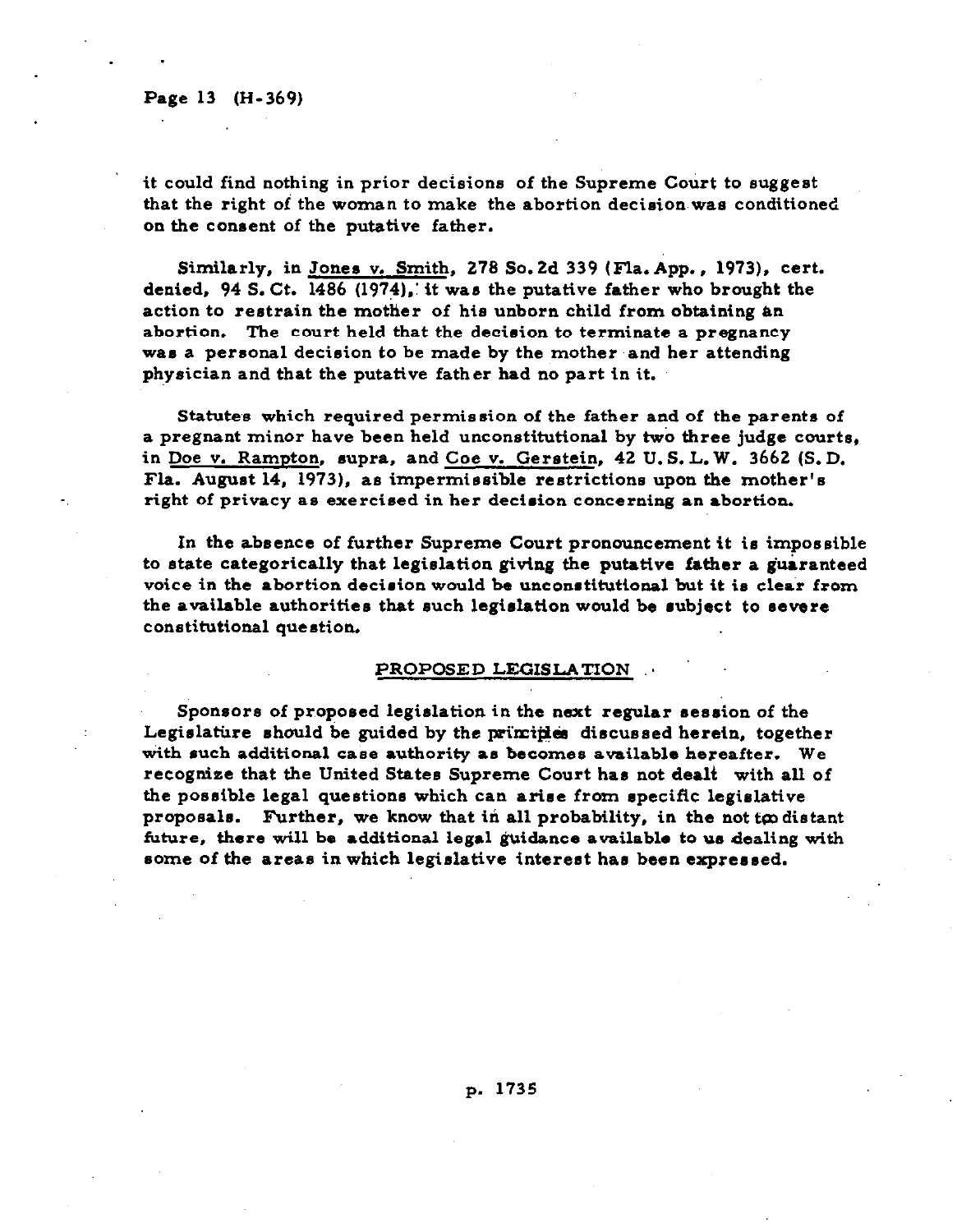### **Page 13 (H-369)**

. .

**it could find nothing in prior decisions of the Supreme Court to suggest that the right of the woman to make the abortion decision was conditioned on the consent of the putative father.** 

**Similarly, in Jones v. Smith, 278 So. 2d 339 (Fla. App., 1973). cert. denied, 94 S. Ct. 1486 (1974),: it was the putative father who brought the**  action to restrain the mother of his unborn child from obtaining an **abortion. The court held that the decision to terminate a pregnancy was a personal decision to be made by the mother and her attending physician and that the putative father had no part in it.** 

**Statutes which required permission of the father and of the parents of a pregnant minor have been held unconstitutional by two three judge courts,**  in <u>Doe v. Rampton</u>, supra, and Coe v. Gerstein, 42 U.S.L.W. 3662 (S.D. **Fla. August 14, 1973), as impermissible restrictions upon the mother's right of privacy as exercised in her decision concerning an abortion.** 

**In the absence of further Supreme Court pronouncement it is impossible to state categorically that legislation giving the putative father a guaranteed voice in the abortion decision would be unconstitutional but it is clear from the available authorities that such legislation would be subject to** severe **constitutional question.** 

### **PROPOSED LEGISLATION \***

Sponsors of proposed legislation in the next regular session of the Legislature should be guided by the principles discussed herein, together **wttb such additional case authority as becomes available hereafter. We recogniae that the United States Supreme Court has not dealt with all of the possible legal questions which can arise from specific legislative**  proposals. Further, we know that in all probability, in the not to distant **future, there will be additional legal guidance available to us dealing with some of the areas in which legislative interest has been expressed.**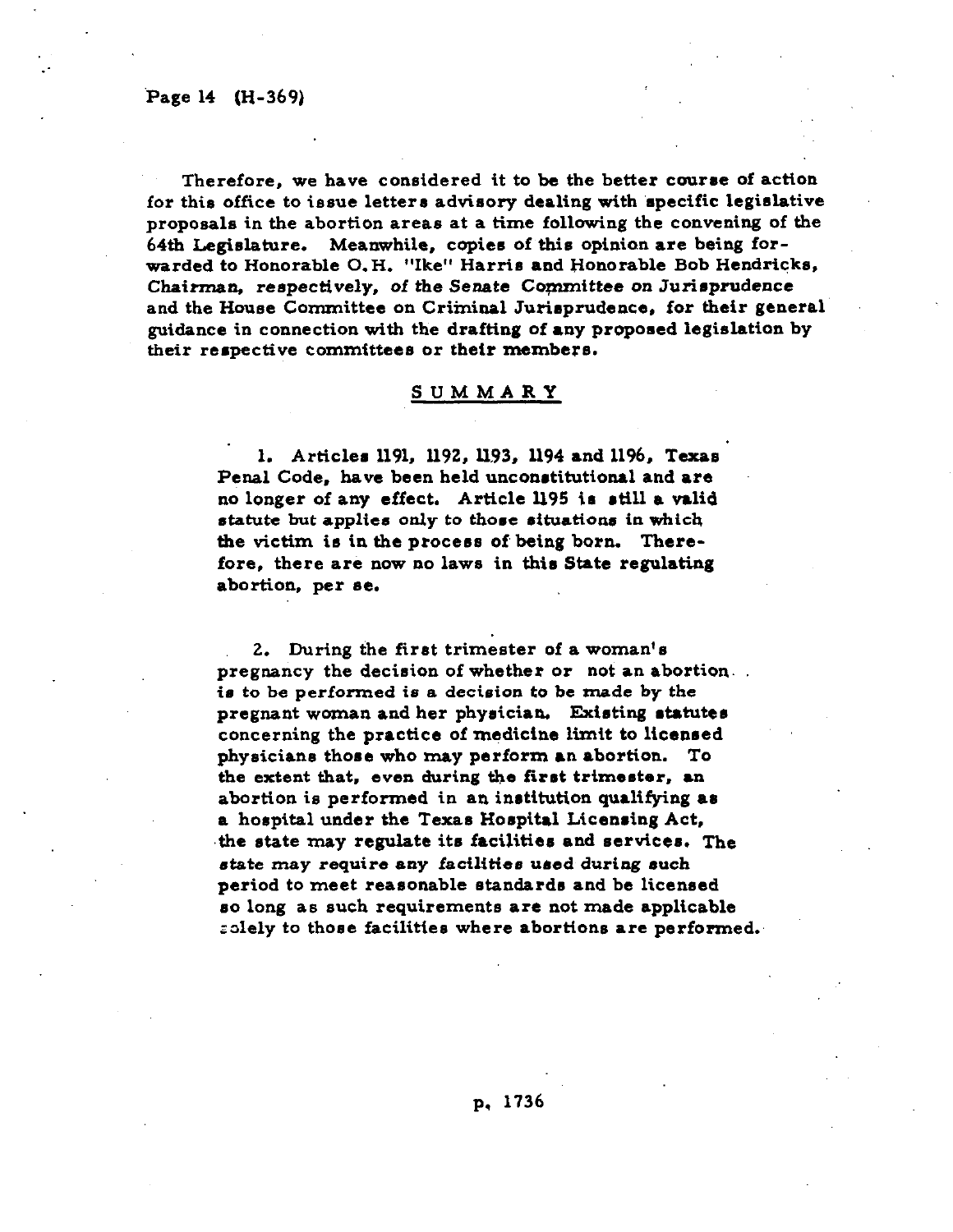:

**Therefore, we have considered it to be the better course of action for this office to issue letters advisory dealing with 'specific legislative proposals in the abortion areas at a time following the convening of the 64th Legislature. Meanwhile, copies of this opinion are being forwarded to Honorable 0. H. "Ike" Harris and Honorable Bob Hendricks, Chairman, respectively, of the Senate Committee on Jurirprudence and the House Committee on Criminal Jurisprudence. for their general guidance in connection with the drafting of** any **proposed legislation by their respective committees or their members.** 

### **SUMMARY**

1. Articles 1191, 1192, 1193, 1194 and 1196, Texas **Penal Code, have been held unconstitutional and are no longer of any effect. Article 1195 is still a valid statute but** applies **only to those eituatione in which**  the victim is in the **process** of **being** born. There**fore, there are now no laws in this State regulating abortion,** *per se.* 

**2. During the first trimester of a woman's pregnancy the decision of whether or not an abortion. is to be performed is a decision to be made by the pregnant woman and her physician. Existing statutes concerning the practice of medicine limit to liceared physicians those who may perform an abortion. To the extent that, even during the first trimester, an abortion is performed in an institution qualifying as a hospital under the Texas Hospital Licensing Act, .the state may regulate its facilities and eervicee. The state may require any facilities ured during such period to meet reasonable standards and be licensed so long as such requirements** *are* **not made applicable solely to those facilities where abortions are performed.**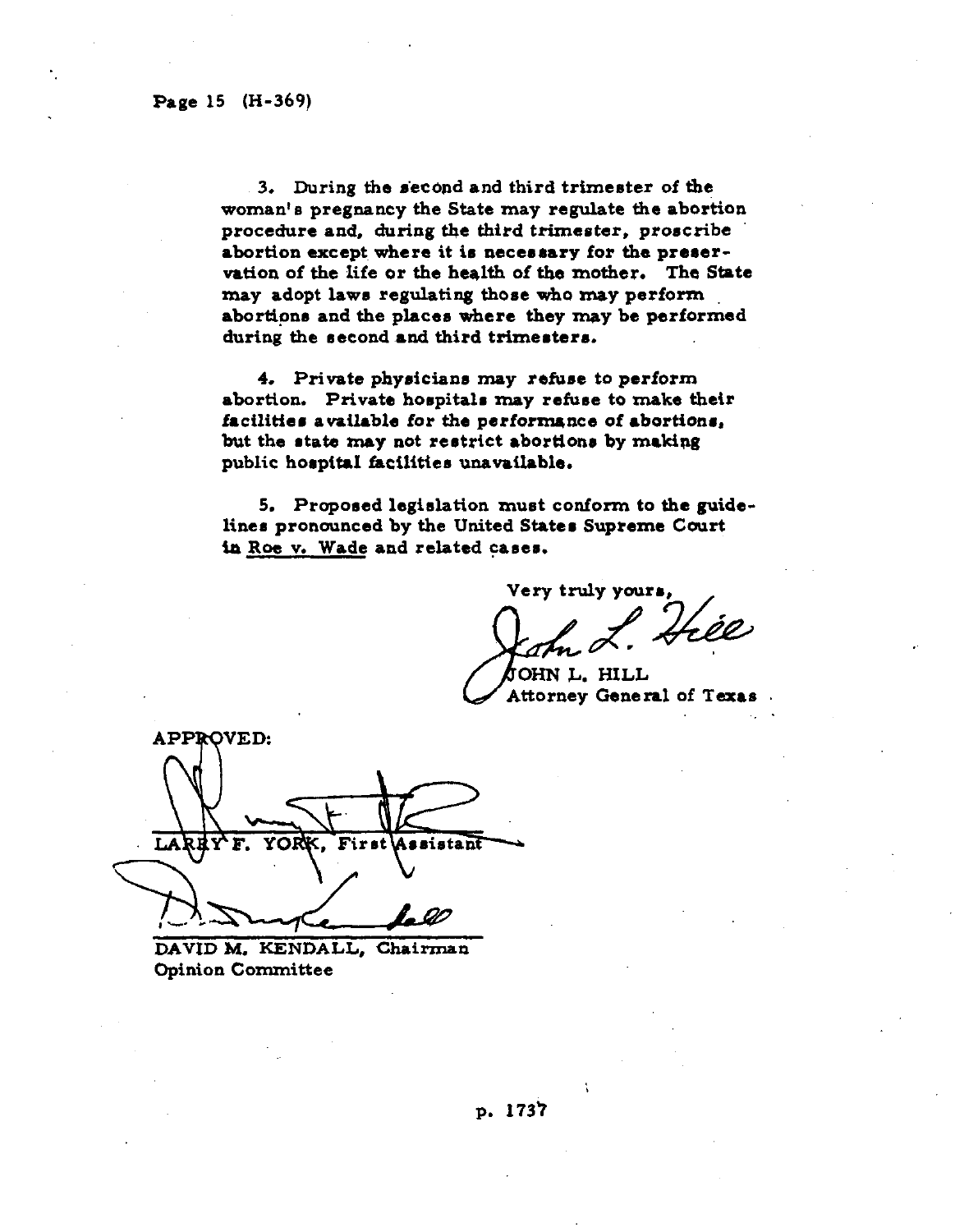**3. During the e'ecdnd and third trimester of the woman's pregnancy the State may regulate the abortion procedure and, during the third trimester, proscribe**  abortion except where it is necessary for the preser**vation of the life or the heqlth of the mother. The State may adopt laws regulating those who may perform abortions and the places where they may be performed**  during the second and third trimesters.

**4. Private physicians may refuse to perform abortion. Private hospitals may refuse to make their**  facilities available for the performance of abortions, but **the state may not** restrict **abortlone by makipg**  public hospital facilities unavailable.

**5. Proposed legislation must conform to the guidelines pronounced by the United Stater Supreme Court ia Roe v. Wade and related cares.** 

**Very truly your&, ,**  Hée

**OHN L. HILL General of Texas** 

**APPROVED:**  $T_{\rm A}$ First istant

**DAVID M. KENDALL, Chairman Opinion Committee**